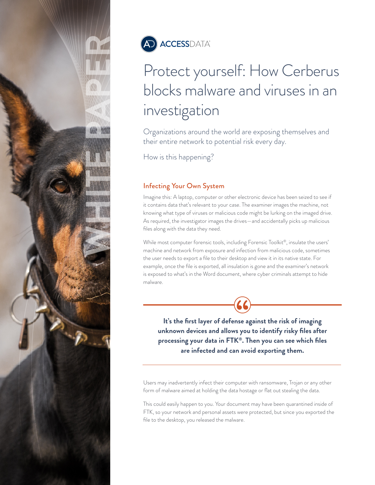



# Protect yourself: How Cerberus blocks malware and viruses in an investigation

Organizations around the world are exposing themselves and their entire network to potential risk every day.

How is this happening?

# Infecting Your Own System

Imagine this: A laptop, computer or other electronic device has been seized to see if it contains data that's relevant to your case. The examiner images the machine, not knowing what type of viruses or malicious code might be lurking on the imaged drive. As required, the investigator images the drives—and accidentally picks up malicious files along with the data they need.

While most computer forensic tools, including Forensic Toolkit®, insulate the users' machine and network from exposure and infection from malicious code, sometimes the user needs to export a file to their desktop and view it in its native state. For example, once the file is exported, all insulation is gone and the examiner's network is exposed to what's in the Word document, where cyber criminals attempt to hide malware.

**It's the first layer of defense against the risk of imaging unknown devices and allows you to identify risky files after processing your data in FTK®. Then you can see which files are infected and can avoid exporting them.** 

Users may inadvertently infect their computer with ransomware, Trojan or any other form of malware aimed at holding the data hostage or flat out stealing the data.

This could easily happen to you. Your document may have been quarantined inside of FTK, so your network and personal assets were protected, but since you exported the file to the desktop, you released the malware.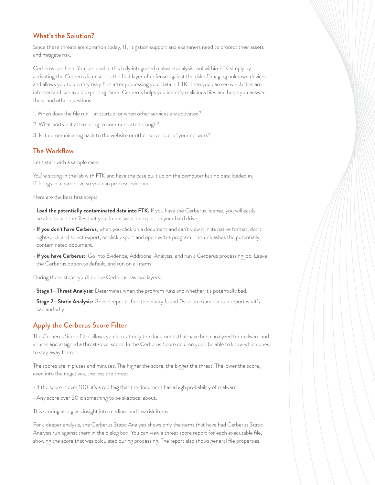#### What's the Solution?

Since these threats are common today, IT, litigation support and examiners need to protect their assets and mitigate risk.

Cerberus can help. You can enable this fully integrated malware analysis tool within FTK simply by activating the Cerberus license. It's the first layer of defense against the risk of imaging unknown devices and allows you to identify risky files after processing your data in FTK. Then you can see which files are infected and can avoid exporting them. Cerberus helps you identify malicious files and helps you answer these and other questions:

- 1. When does the file run—at startup, or when other services are activated?
- 2. What ports is it attempting to communicate through?
- 3. Is it communicating back to the website or other server out of your network?

#### The Workflow

Let's start with a sample case.

You're sitting in the lab with FTK and have the case built up on the computer but no data loaded in. IT brings in a hard drive so you can process evidence.

Here are the best first steps:

- **Load the potentially contaminated data into FTK.** If you have the Cerberus license, you will easily be able to see the files that you do not want to export to your hard drive.
- **If you don't have Cerberus**, when you click on a document and can't view it in its native format, don't right-click and select export, or click export and open with a program. This unleashes the potentially contaminated document.
- **If you have Cerberus:** Go into Evidence, Additional Analysis, and run a Cerberus processing job. Leave the Cerberus option to default, and run on all items.

During these steps, you'll notice Cerberus has two layers.

- **Stage 1—Threat Analysis:** Determines when the program runs and whether it's potentially bad.
- **Stage 2—Static Analysis:** Goes deeper to find the binary 1s and 0s so an examiner can report what's bad and why.

# Apply the Cerberus Score Filter

The Cerberus Score filter allows you look at only the documents that have been analyzed for malware and viruses and assigned a threat-level score. In the Cerberus Score column you'll be able to know which ones to stay away from.

The scores are in pluses and minuses. The higher the score, the bigger the threat. The lower the score, even into the negatives, the less the threat.

- If the score is over 100, it's a red flag that the document has a high probability of malware.
- Any score over 50 is something to be skeptical about.

This scoring also gives insight into medium and low risk items.

For a deeper analysis, the Cerberus Static Analysis shows only the items that have had Cerberus Static Analysis run against them in the dialog box. You can view a threat score report for each executable file, showing the score that was calculated during processing. The report also shows general file properties.